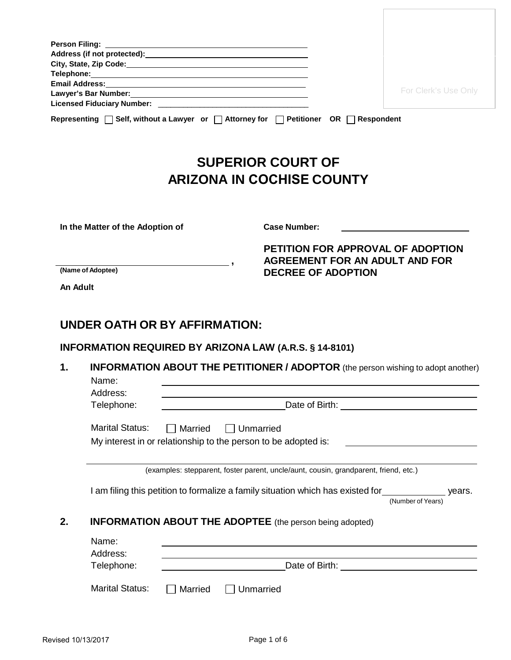|                                               | Email Address: No. 2014 12:30 12:30 12:30 12:30 12:30 12:30 12:30 12:30 12:30 12:30 12:30 12:30 12:30 12:30 1  |                                                                                                                                                          |
|-----------------------------------------------|----------------------------------------------------------------------------------------------------------------|----------------------------------------------------------------------------------------------------------------------------------------------------------|
|                                               | Lawyer's Bar Number: Manual Manual Manual Manual Manual Manual Manual Manual Manual Manual Manual Manual Manua | For Clerk's Use Only                                                                                                                                     |
|                                               |                                                                                                                |                                                                                                                                                          |
|                                               |                                                                                                                | Representing   Self, without a Lawyer or   Attorney for   Petitioner OR   Respondent                                                                     |
|                                               |                                                                                                                | <b>SUPERIOR COURT OF</b>                                                                                                                                 |
|                                               |                                                                                                                | <b>ARIZONA IN COCHISE COUNTY</b>                                                                                                                         |
|                                               |                                                                                                                |                                                                                                                                                          |
|                                               | In the Matter of the Adoption of                                                                               | <b>Case Number:</b>                                                                                                                                      |
|                                               |                                                                                                                | PETITION FOR APPROVAL OF ADOPTION<br><b>AGREEMENT FOR AN ADULT AND FOR</b>                                                                               |
| $\overline{\phantom{a}}$<br>(Name of Adoptee) |                                                                                                                |                                                                                                                                                          |
|                                               |                                                                                                                | <b>DECREE OF ADOPTION</b>                                                                                                                                |
| An Adult                                      |                                                                                                                |                                                                                                                                                          |
| 1.                                            | UNDER OATH OR BY AFFIRMATION:                                                                                  | <b>INFORMATION REQUIRED BY ARIZONA LAW (A.R.S. § 14-8101)</b><br><b>INFORMATION ABOUT THE PETITIONER / ADOPTOR</b> (the person wishing to adopt another) |
|                                               | Name:                                                                                                          |                                                                                                                                                          |
|                                               | Address:<br>Telephone:                                                                                         |                                                                                                                                                          |
|                                               |                                                                                                                |                                                                                                                                                          |
|                                               | <b>Marital Status:</b><br>Married                                                                              | $\Box$ Unmarried<br>My interest in or relationship to the person to be adopted is:                                                                       |
|                                               |                                                                                                                |                                                                                                                                                          |
|                                               |                                                                                                                | (examples: stepparent, foster parent, uncle/aunt, cousin, grandparent, friend, etc.)                                                                     |
|                                               |                                                                                                                | I am filing this petition to formalize a family situation which has existed for<br>years.<br>(Number of Years)                                           |
| 2.                                            |                                                                                                                | <b>INFORMATION ABOUT THE ADOPTEE</b> (the person being adopted)                                                                                          |
|                                               | Name:                                                                                                          |                                                                                                                                                          |
|                                               | Address:<br>Telephone:                                                                                         |                                                                                                                                                          |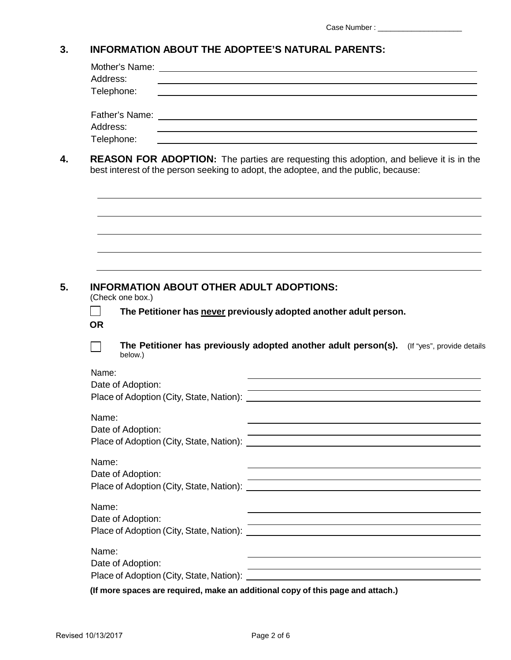#### **3. INFORMATION ABOUT THE ADOPTEE'S NATURAL PARENTS:**

| Address:           | <u> 1980 - Johann Barn, mars ann an t-Alban ann an t-Alban ann an t-Alban ann an t-Alban ann an t-Alban ann an t-</u>                                                                                                                              |  |  |  |
|--------------------|----------------------------------------------------------------------------------------------------------------------------------------------------------------------------------------------------------------------------------------------------|--|--|--|
|                    | Telephone:                                                                                                                                                                                                                                         |  |  |  |
|                    |                                                                                                                                                                                                                                                    |  |  |  |
| Address:           | and the control of the control of the control of the control of the control of the control of the control of the                                                                                                                                   |  |  |  |
|                    | Telephone:<br>and the control of the control of the control of the control of the control of the control of the control of the                                                                                                                     |  |  |  |
|                    | <b>REASON FOR ADOPTION:</b> The parties are requesting this adoption, and believe it is in the<br>best interest of the person seeking to adopt, the adoptee, and the public, because:                                                              |  |  |  |
|                    |                                                                                                                                                                                                                                                    |  |  |  |
|                    |                                                                                                                                                                                                                                                    |  |  |  |
|                    |                                                                                                                                                                                                                                                    |  |  |  |
|                    |                                                                                                                                                                                                                                                    |  |  |  |
|                    |                                                                                                                                                                                                                                                    |  |  |  |
|                    | <b>INFORMATION ABOUT OTHER ADULT ADOPTIONS:</b>                                                                                                                                                                                                    |  |  |  |
|                    | (Check one box.)                                                                                                                                                                                                                                   |  |  |  |
|                    | The Petitioner has never previously adopted another adult person.                                                                                                                                                                                  |  |  |  |
|                    | below.)                                                                                                                                                                                                                                            |  |  |  |
| <b>OR</b><br>Name: |                                                                                                                                                                                                                                                    |  |  |  |
|                    | the control of the control of the control of the control of the control of the control of the control of the control of the control of the control of the control of the control of the control of the control of the control<br>Date of Adoption: |  |  |  |
|                    | The Petitioner has previously adopted another adult person(s). (If "yes", provide details<br><u> 1989 - Johann Barbara, martxa alemaniar amerikan basar da a</u>                                                                                   |  |  |  |
| Name:              |                                                                                                                                                                                                                                                    |  |  |  |
|                    | Date of Adoption:<br><u> 1989 - Andrea Stadt Britain, amerikansk politik (* 1958)</u>                                                                                                                                                              |  |  |  |

| Name:<br>Date of Adoption:<br>Place of Adoption (City, State, Nation): |  |
|------------------------------------------------------------------------|--|
| Name:<br>Date of Adoption:<br>Place of Adoption (City, State, Nation): |  |
| Name:<br>Date of Adoption:<br>Place of Adoption (City, State, Nation): |  |

**(If more spaces are required, make an additional copy of this page and attach.)**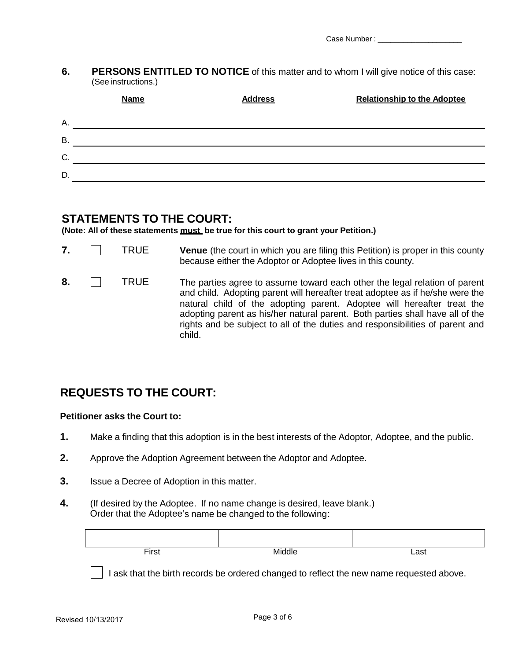**6. PERSONS ENTITLED TO NOTICE** of this matter and to whom I will give notice of this case: (See instructions.)

|           | <b>Name</b> | <b>Address</b> | <b>Relationship to the Adoptee</b> |
|-----------|-------------|----------------|------------------------------------|
| Α.        |             |                |                                    |
| <b>B.</b> |             |                |                                    |
| C.        |             |                |                                    |
| D.        |             |                |                                    |

### **STATEMENTS TO THE COURT:**

**(Note: All of these statements must be true for this court to grant your Petition.)**

| 7. | TRUE | <b>Venue</b> (the court in which you are filing this Petition) is proper in this county<br>because either the Adoptor or Adoptee lives in this county.                                                                                                                                                                                                                                                            |
|----|------|-------------------------------------------------------------------------------------------------------------------------------------------------------------------------------------------------------------------------------------------------------------------------------------------------------------------------------------------------------------------------------------------------------------------|
| 8. | TRUE | The parties agree to assume toward each other the legal relation of parent<br>and child. Adopting parent will hereafter treat adoptee as if he/she were the<br>natural child of the adopting parent. Adoptee will hereafter treat the<br>adopting parent as his/her natural parent. Both parties shall have all of the<br>rights and be subject to all of the duties and responsibilities of parent and<br>child. |

## **REQUESTS TO THE COURT:**

#### **Petitioner asks the Court to:**

- **1.** Make a finding that this adoption is in the best interests of the Adoptor, Adoptee, and the public.
- **2.** Approve the Adoption Agreement between the Adoptor and Adoptee.
- **3.** Issue a Decree of Adoption in this matter.
- **4.** (If desired by the Adoptee. If no name change is desired, leave blank.) Order that the Adoptee's name be changed to the following:

| $\blacksquare$<br>r<br>. | $\sim$ $\sim$ | $\sim$<br><u>аз</u><br>---- |
|--------------------------|---------------|-----------------------------|

I ask that the birth records be ordered changed to reflect the new name requested above.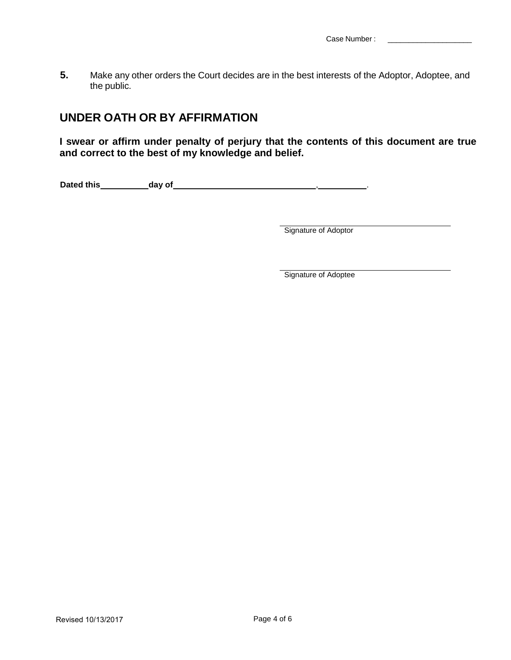**5.** Make any other orders the Court decides are in the best interests of the Adoptor, Adoptee, and the public.

## **UNDER OATH OR BY AFFIRMATION**

**I swear or affirm under penalty of perjury that the contents of this document are true and correct to the best of my knowledge and belief.**

**Dated this day of** , .

**Signature of Adoptor** 

Signature of Adoptee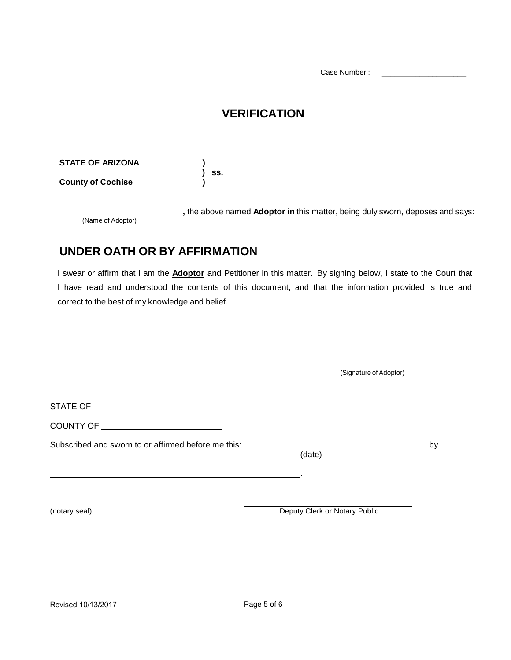Case Number :

# **VERIFICATION**

**STATE OF ARIZONA** 

**County of Cochise )**

 **,** the above named **Adoptor in** this matter, being duly sworn, deposes and says: (Name of Adoptor)

# **UNDER OATH OR BY AFFIRMATION**

**) ) ss.**

I swear or affirm that I am the **Adoptor** and Petitioner in this matter. By signing below, I state to the Court that I have read and understood the contents of this document, and that the information provided is true and correct to the best of my knowledge and belief.

|                                                     | (Signature of Adoptor)        |    |
|-----------------------------------------------------|-------------------------------|----|
|                                                     |                               |    |
|                                                     |                               |    |
| Subscribed and sworn to or affirmed before me this: | (date)                        | by |
|                                                     |                               |    |
| (notary seal)                                       | Deputy Clerk or Notary Public |    |